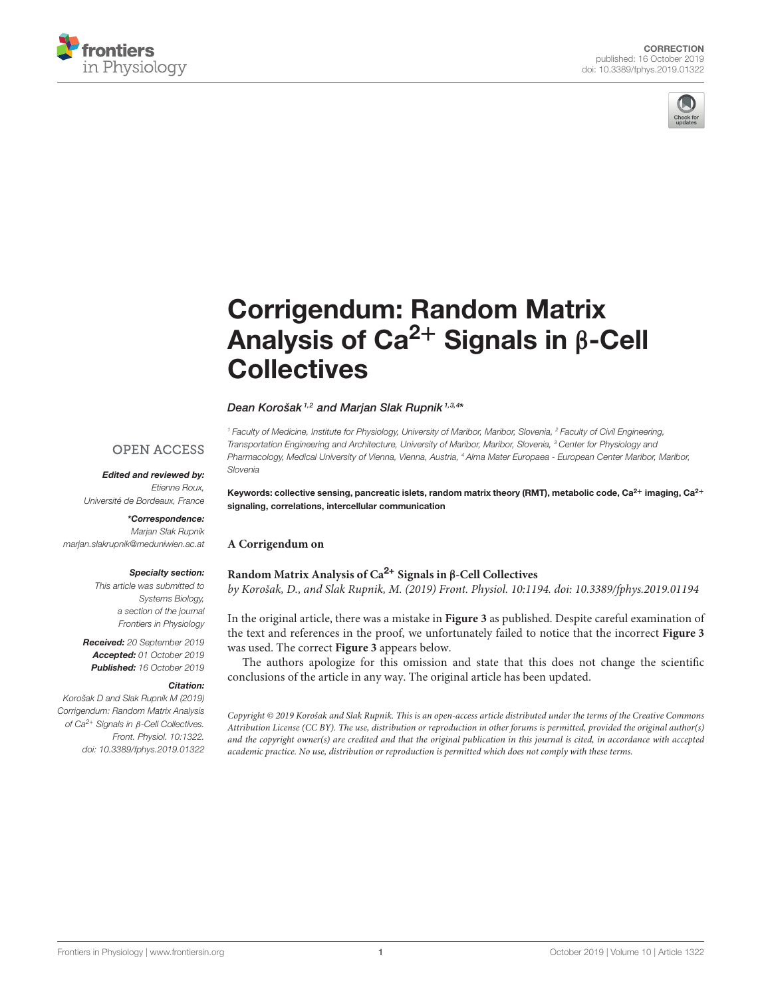



# [Corrigendum: Random Matrix](https://www.frontiersin.org/articles/10.3389/fphys.2019.01322/full) Analysis of Ca<sup>2+</sup> Signals in  $\beta$ -Cell **Collectives**

### [Dean Korošak](http://loop.frontiersin.org/people/437672/overview) <sup>1,2</sup> and [Marjan Slak Rupnik](http://loop.frontiersin.org/people/441340/overview) <sup>1,3,4\*</sup>

<sup>1</sup> Faculty of Medicine, Institute for Physiology, University of Maribor, Maribor, Slovenia, <sup>2</sup> Faculty of Civil Engineering, Transportation Engineering and Architecture, University of Maribor, Maribor, Slovenia, <sup>3</sup> Center for Physiology and Pharmacology, Medical University of Vienna, Vienna, Austria, <sup>4</sup> Alma Mater Europaea - European Center Maribor, Maribor, Slovenia

## **OPEN ACCESS**

## Edited and reviewed by:

Etienne Roux, Université de Bordeaux, France

# \*Correspondence:

Marjan Slak Rupnik [marjan.slakrupnik@meduniwien.ac.at](mailto:marjan.slakrupnik@meduniwien.ac.at)

#### Specialty section:

This article was submitted to Systems Biology, a section of the journal Frontiers in Physiology

Received: 20 September 2019 Accepted: 01 October 2019 Published: 16 October 2019

#### Citation:

Korošak D and Slak Rupnik M (2019) Corrigendum: Random Matrix Analysis of Ca2+ Signals in β-Cell Collectives. Front. Physiol. 10:1322. doi: [10.3389/fphys.2019.01322](https://doi.org/10.3389/fphys.2019.01322) Keywords: collective sensing, pancreatic islets, random matrix theory (RMT), metabolic code, Ca<sup>2+</sup> imaging, Ca<sup>2+</sup> signaling, correlations, intercellular communication

# **A Corrigendum on**

## **[Random Matrix Analysis of Ca](https://doi.org/10.3389/fphys.2019.01194)**2+ **Signals in** β**-Cell Collectives**

by Korošak, D., and Slak Rupnik, M. (2019) Front. Physiol. 10:1194. doi: [10.3389/fphys.2019.01194](https://doi.org/10.3389/fphys.2019.01194)

In the original article, there was a mistake in **Figure 3** as published. Despite careful examination of the text and references in the proof, we unfortunately failed to notice that the incorrect **Figure 3** was used. The correct **Figure 3** appears below.

The authors apologize for this omission and state that this does not change the scientific conclusions of the article in any way. The original article has been updated.

Copyright © 2019 Korošak and Slak Rupnik. This is an open-access article distributed under the terms of the [Creative Commons](http://creativecommons.org/licenses/by/4.0/) [Attribution License \(CC BY\).](http://creativecommons.org/licenses/by/4.0/) The use, distribution or reproduction in other forums is permitted, provided the original author(s) and the copyright owner(s) are credited and that the original publication in this journal is cited, in accordance with accepted academic practice. No use, distribution or reproduction is permitted which does not comply with these terms.